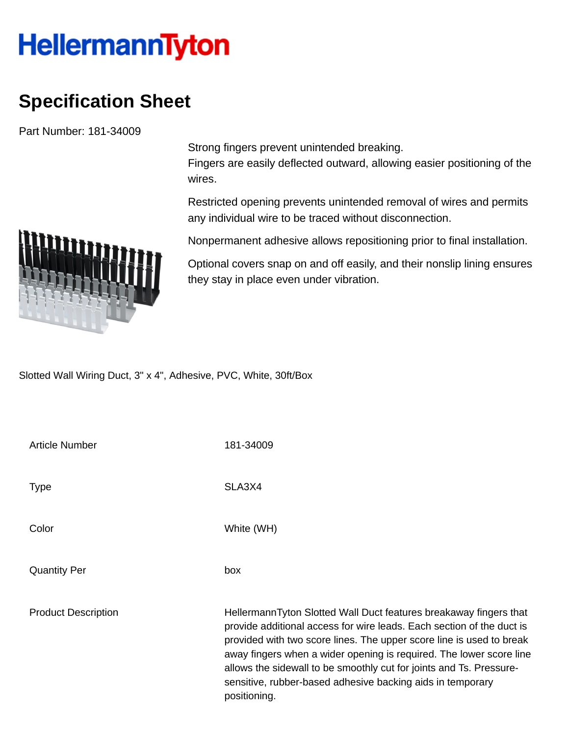## **HellermannTyton**

## **Specification Sheet**

Part Number: 181-34009



Fingers are easily deflected outward, allowing easier positioning of the wires.

Restricted opening prevents unintended removal of wires and permits any individual wire to be traced without disconnection.

Nonpermanent adhesive allows repositioning prior to final installation.

Optional covers snap on and off easily, and their nonslip lining ensures they stay in place even under vibration.

Slotted Wall Wiring Duct, 3" x 4", Adhesive, PVC, White, 30ft/Box

Article Number 181-34009 Type SLA3X4 Color White (WH) Quantity Per box Product Description **HellermannTyton Slotted Wall Duct features breakaway fingers that** provide additional access for wire leads. Each section of the duct is provided with two score lines. The upper score line is used to break away fingers when a wider opening is required. The lower score line allows the sidewall to be smoothly cut for joints and Ts. Pressuresensitive, rubber-based adhesive backing aids in temporary positioning.

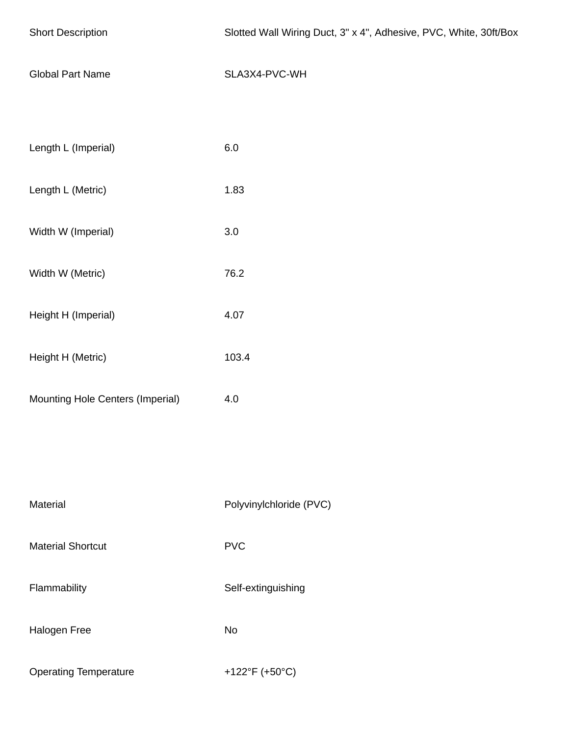| <b>Short Description</b>         | Slotted Wall Wiring Duct, 3" x 4", Adhesive, PVC, White, 30ft/Box |
|----------------------------------|-------------------------------------------------------------------|
| <b>Global Part Name</b>          | SLA3X4-PVC-WH                                                     |
|                                  |                                                                   |
| Length L (Imperial)              | $6.0\,$                                                           |
| Length L (Metric)                | 1.83                                                              |
| Width W (Imperial)               | $3.0\,$                                                           |
| Width W (Metric)                 | 76.2                                                              |
| Height H (Imperial)              | 4.07                                                              |
| Height H (Metric)                | 103.4                                                             |
| Mounting Hole Centers (Imperial) | 4.0                                                               |
|                                  |                                                                   |
| Material                         | Polyvinylchloride (PVC)                                           |
| <b>Material Shortcut</b>         | <b>PVC</b>                                                        |
|                                  |                                                                   |
| Flammability                     | Self-extinguishing                                                |
| Halogen Free                     | <b>No</b>                                                         |
| <b>Operating Temperature</b>     | +122°F (+50°C)                                                    |